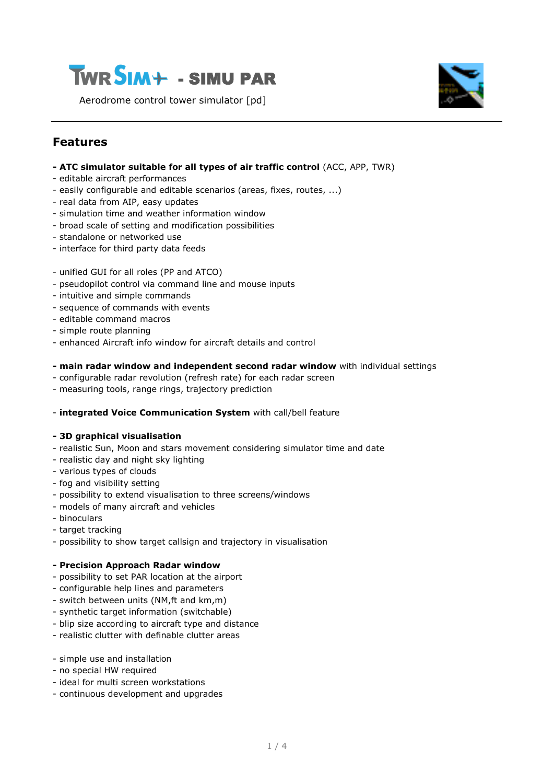

Aerodrome control tower simulator [pd]



### **Features**

- **- ATC simulator suitable for all types of air traffic control** (ACC, APP, TWR)
- editable aircraft performances
- easily configurable and editable scenarios (areas, fixes, routes, ...)
- real data from AIP, easy updates
- simulation time and weather information window
- broad scale of setting and modification possibilities
- standalone or networked use
- interface for third party data feeds
- unified GUI for all roles (PP and ATCO)
- pseudopilot control via command line and mouse inputs
- intuitive and simple commands
- sequence of commands with events
- editable command macros
- simple route planning
- enhanced Aircraft info window for aircraft details and control

#### **- main radar window and independent second radar window** with individual settings

- configurable radar revolution (refresh rate) for each radar screen
- measuring tools, range rings, trajectory prediction

#### - **integrated Voice Communication System** with call/bell feature

#### **- 3D graphical visualisation**

- realistic Sun, Moon and stars movement considering simulator time and date
- realistic day and night sky lighting
- various types of clouds
- fog and visibility setting
- possibility to extend visualisation to three screens/windows
- models of many aircraft and vehicles
- binoculars
- target tracking
- possibility to show target callsign and trajectory in visualisation

#### **- Precision Approach Radar window**

- possibility to set PAR location at the airport
- configurable help lines and parameters
- switch between units (NM,ft and km,m)
- synthetic target information (switchable)
- blip size according to aircraft type and distance
- realistic clutter with definable clutter areas
- simple use and installation
- no special HW required
- ideal for multi screen workstations
- continuous development and upgrades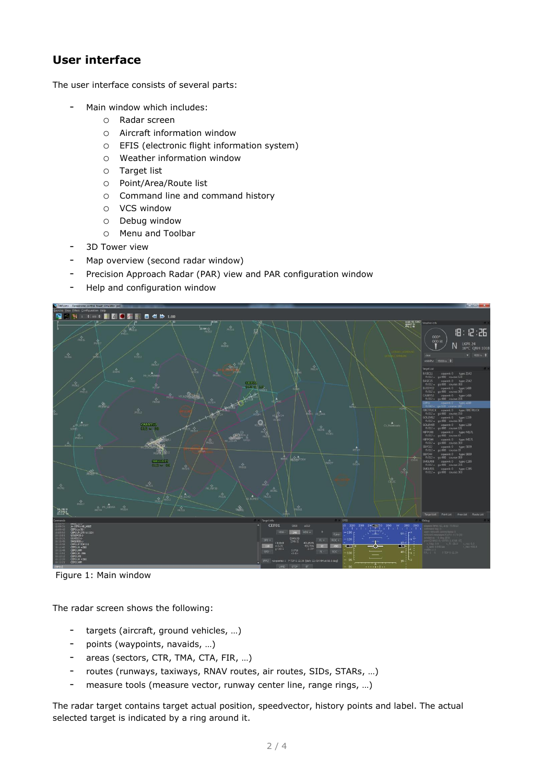# **User interface**

The user interface consists of several parts:

- Main window which includes:
	- o Radar screen
	- o Aircraft information window
	- o EFIS (electronic flight information system)
	- o Weather information window
	- o Target list
	- o Point/Area/Route list
	- o Command line and command history
	- o VCS window
	- o Debug window
	- o Menu and Toolbar
- 3D Tower view
- Map overview (second radar window)
- Precision Approach Radar (PAR) view and PAR configuration window
- Help and configuration window



Figure 1: Main window

The radar screen shows the following:

- targets (aircraft, ground vehicles, …)
- points (waypoints, navaids, …)
- areas (sectors, CTR, TMA, CTA, FIR, …)
- routes (runways, taxiways, RNAV routes, air routes, SIDs, STARs, …)
- measure tools (measure vector, runway center line, range rings, …)

The radar target contains target actual position, speedvector, history points and label. The actual selected target is indicated by a ring around it.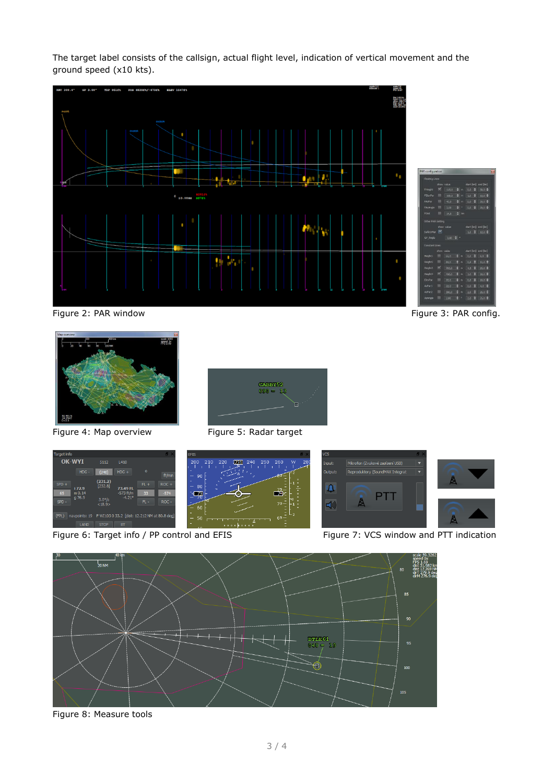The target label consists of the callsign, actual flight level, indication of vertical movement and the ground speed (x10 kts).



Figure 2: PAR window Figure 3: PAR config.



Figure 4: Map overview Figure 5: Radar target





Figure 6: Target info / PP control and EFIS Figure 7: VCS window and PTT indication





Figure 8: Measure tools